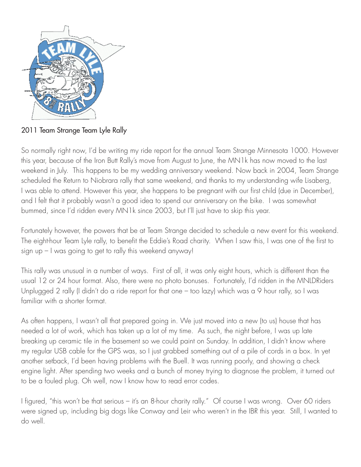

2011 Team Strange Team Lyle Rally

So normally right now, I'd be writing my ride report for the annual Team Strange Minnesota 1000. However this year, because of the Iron Butt Rally's move from August to June, the MN1k has now moved to the last weekend in July. This happens to be my wedding anniversary weekend. Now back in 2004, Team Strange scheduled the Return to Niobrara rally that same weekend, and thanks to my understanding wife Lisaberg, I was able to attend. However this year, she happens to be pregnant with our first child (due in December), and I felt that it probably wasn't a good idea to spend our anniversary on the bike. I was somewhat bummed, since I'd ridden every MN1k since 2003, but I'll just have to skip this year.

Fortunately however, the powers that be at Team Strange decided to schedule a new event for this weekend. The eight-hour Team Lyle rally, to benefit the Eddie's Road charity. When I saw this, I was one of the first to sign up – I was going to get to rally this weekend anyway!

This rally was unusual in a number of ways. First of all, it was only eight hours, which is different than the usual 12 or 24 hour format. Also, there were no photo bonuses. Fortunately, I'd ridden in the MNLDRiders Unplugged 2 rally (I didn't do a ride report for that one – too lazy) which was a 9 hour rally, so I was familiar with a shorter format.

As often happens, I wasn't all that prepared going in. We just moved into a new (to us) house that has needed a lot of work, which has taken up a lot of my time. As such, the night before, I was up late breaking up ceramic tile in the basement so we could paint on Sunday. In addition, I didn't know where my regular USB cable for the GPS was, so I just grabbed something out of a pile of cords in a box. In yet another setback, I'd been having problems with the Buell. It was running poorly, and showing a check engine light. After spending two weeks and a bunch of money trying to diagnose the problem, it turned out to be a fouled plug. Oh well, now I know how to read error codes.

I figured, "this won't be that serious – it's an 8-hour charity rally." Of course I was wrong. Over 60 riders were signed up, including big dogs like Conway and Leir who weren't in the IBR this year. Still, I wanted to do well.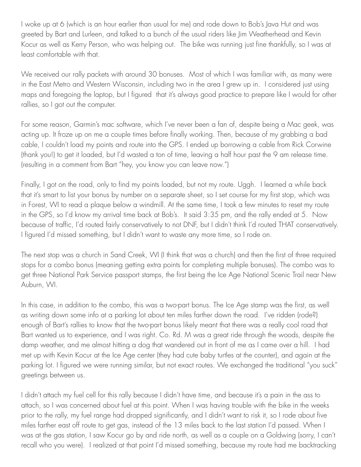I woke up at 6 (which is an hour earlier than usual for me) and rode down to Bob's Java Hut and was greeted by Bart and Lurleen, and talked to a bunch of the usual riders like Jim Weatherhead and Kevin Kocur as well as Kerry Person, who was helping out. The bike was running just fine thankfully, so I was at least comfortable with that.

We received our rally packets with around 30 bonuses. Most of which I was familiar with, as many were in the East Metro and Western Wisconsin, including two in the area I grew up in. I considered just using maps and foregoing the laptop, but I figured that it's always good practice to prepare like I would for other rallies, so I got out the computer.

For some reason, Garmin's mac software, which I've never been a fan of, despite being a Mac geek, was acting up. It froze up on me a couple times before finally working. Then, because of my grabbing a bad cable, I couldn't load my points and route into the GPS. I ended up borrowing a cable from Rick Corwine (thank you!) to get it loaded, but I'd wasted a ton of time, leaving a half hour past the 9 am release time. (resulting in a comment from Bart "hey, you know you can leave now.")

Finally, I got on the road, only to find my points loaded, but not my route. Uggh. I learned a while back that it's smart to list your bonus by number on a separate sheet, so I set course for my first stop, which was in Forest, WI to read a plaque below a windmill. At the same time, I took a few minutes to reset my route in the GPS, so I'd know my arrival time back at Bob's. It said 3:35 pm, and the rally ended at 5. Now because of traffic, I'd routed fairly conservatively to not DNF, but I didn't think I'd routed THAT conservatively. I figured I'd missed something, but I didn't want to waste any more time, so I rode on.

The next stop was a church in Sand Creek, WI (I think that was a church) and then the first of three required stops for a combo bonus (meaning getting extra points for completing multiple bonuses). The combo was to get three National Park Service passport stamps, the first being the Ice Age National Scenic Trail near New Auburn, WI.

In this case, in addition to the combo, this was a two-part bonus. The Ice Age stamp was the first, as well as writing down some info at a parking lot about ten miles farther down the road. I've ridden (rode?) enough of Bart's rallies to know that the two-part bonus likely meant that there was a really cool road that Bart wanted us to experience, and I was right. Co. Rd. M was a great ride through the woods, despite the damp weather, and me almost hitting a dog that wandered out in front of me as I came over a hill. I had met up with Kevin Kocur at the Ice Age center (they had cute baby turtles at the counter), and again at the parking lot. I figured we were running similar, but not exact routes. We exchanged the traditional "you suck" greetings between us.

I didn't attach my fuel cell for this rally because I didn't have time, and because it's a pain in the ass to attach, so I was concerned about fuel at this point. When I was having trouble with the bike in the weeks prior to the rally, my fuel range had dropped significantly, and I didn't want to risk it, so I rode about five miles farther east off route to get gas, instead of the 13 miles back to the last station I'd passed. When I was at the gas station, I saw Kocur go by and ride north, as well as a couple on a Goldwing (sorry, I can't recall who you were). I realized at that point I'd missed something, because my route had me backtracking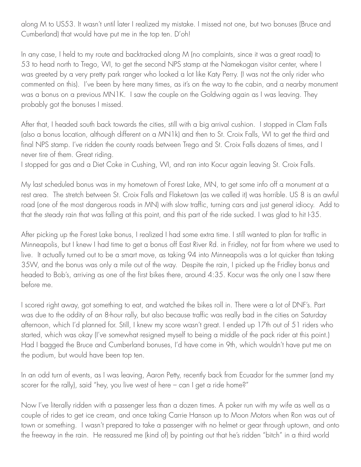along M to US53. It wasn't until later I realized my mistake. I missed not one, but two bonuses (Bruce and Cumberland) that would have put me in the top ten. D'oh!

In any case, I held to my route and backtracked along M (no complaints, since it was a great road) to 53 to head north to Trego, WI, to get the second NPS stamp at the Namekogan visitor center, where I was greeted by a very pretty park ranger who looked a lot like Katy Perry. (I was not the only rider who commented on this). I've been by here many times, as it's on the way to the cabin, and a nearby monument was a bonus on a previous MN1K. I saw the couple on the Goldwing again as I was leaving. They probably got the bonuses I missed.

After that, I headed south back towards the cities, still with a big arrival cushion. I stopped in Clam Falls (also a bonus location, although different on a MN1k) and then to St. Croix Falls, WI to get the third and final NPS stamp. I've ridden the county roads between Trego and St. Croix Falls dozens of times, and I never tire of them. Great riding.

I stopped for gas and a Diet Coke in Cushing, WI, and ran into Kocur again leaving St. Croix Falls.

My last scheduled bonus was in my hometown of Forest Lake, MN, to get some info off a monument at a rest area. The stretch between St. Croix Falls and Flaketown (as we called it) was horrible. US 8 is an awful road (one of the most dangerous roads in MN) with slow traffic, turning cars and just general idiocy. Add to that the steady rain that was falling at this point, and this part of the ride sucked. I was glad to hit I-35.

After picking up the Forest Lake bonus, I realized I had some extra time. I still wanted to plan for traffic in Minneapolis, but I knew I had time to get a bonus off East River Rd. in Fridley, not far from where we used to live. It actually turned out to be a smart move, as taking 94 into Minneapolis was a lot quicker than taking 35W, and the bonus was only a mile out of the way. Despite the rain, I picked up the Fridley bonus and headed to Bob's, arriving as one of the first bikes there, around 4:35. Kocur was the only one I saw there before me.

I scored right away, got something to eat, and watched the bikes roll in. There were a lot of DNF's. Part was due to the oddity of an 8-hour rally, but also because traffic was really bad in the cities on Saturday afternoon, which I'd planned for. Still, I knew my score wasn't great. I ended up 17th out of 51 riders who started, which was okay (I've somewhat resigned myself to being a middle of the pack rider at this point.) Had I bagged the Bruce and Cumberland bonuses, I'd have come in 9th, which wouldn't have put me on the podium, but would have been top ten.

In an odd turn of events, as I was leaving, Aaron Petty, recently back from Ecuador for the summer (and my scorer for the rally), said "hey, you live west of here – can I get a ride home?"

Now I've literally ridden with a passenger less than a dozen times. A poker run with my wife as well as a couple of rides to get ice cream, and once taking Carrie Hanson up to Moon Motors when Ron was out of town or something. I wasn't prepared to take a passenger with no helmet or gear through uptown, and onto the freeway in the rain. He reassured me (kind of) by pointing out that he's ridden "bitch" in a third world